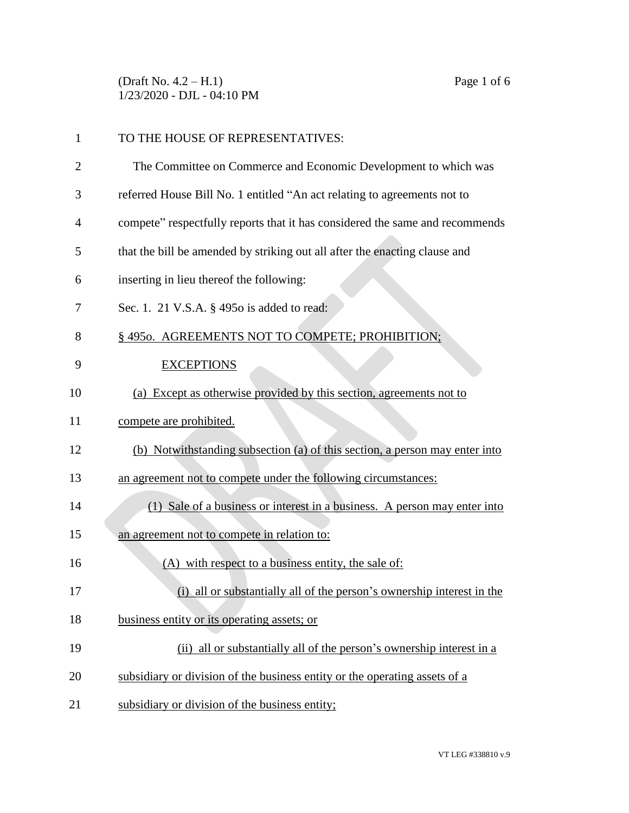(Draft No. 4.2 – H.1) Page 1 of 6 1/23/2020 - DJL - 04:10 PM

| $\mathbf{1}$ | TO THE HOUSE OF REPRESENTATIVES:                                             |
|--------------|------------------------------------------------------------------------------|
| 2            | The Committee on Commerce and Economic Development to which was              |
| 3            | referred House Bill No. 1 entitled "An act relating to agreements not to     |
| 4            | compete" respectfully reports that it has considered the same and recommends |
| 5            | that the bill be amended by striking out all after the enacting clause and   |
| 6            | inserting in lieu thereof the following:                                     |
| 7            | Sec. 1. 21 V.S.A. § 4950 is added to read:                                   |
| 8            | § 4950. AGREEMENTS NOT TO COMPETE; PROHIBITION;                              |
| 9            | <b>EXCEPTIONS</b>                                                            |
| 10           | (a) Except as otherwise provided by this section, agreements not to          |
| 11           | compete are prohibited.                                                      |
| 12           | (b) Notwithstanding subsection (a) of this section, a person may enter into  |
| 13           | an agreement not to compete under the following circumstances:               |
| 14           | (1) Sale of a business or interest in a business. A person may enter into    |
| 15           | an agreement not to compete in relation to:                                  |
| 16           | (A) with respect to a business entity, the sale of:                          |
| 17           | (i) all or substantially all of the person's ownership interest in the       |
| 18           | business entity or its operating assets; or                                  |
| 19           | (ii) all or substantially all of the person's ownership interest in a        |
| 20           | subsidiary or division of the business entity or the operating assets of a   |
| 21           | subsidiary or division of the business entity;                               |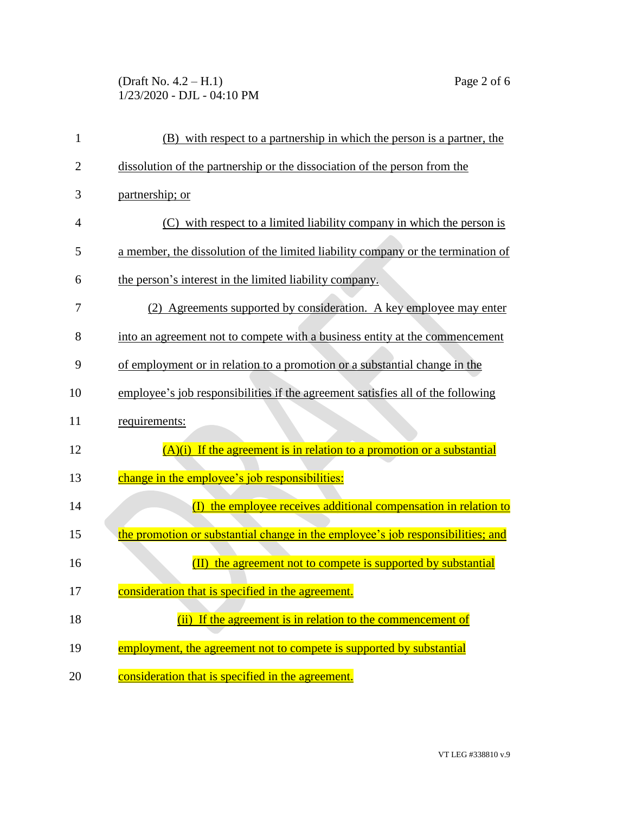## (Draft No. 4.2 – H.1) Page 2 of 6 1/23/2020 - DJL - 04:10 PM

| 1              | (B) with respect to a partnership in which the person is a partner, the          |
|----------------|----------------------------------------------------------------------------------|
| $\overline{2}$ | dissolution of the partnership or the dissociation of the person from the        |
| 3              | partnership; or                                                                  |
| $\overline{4}$ | (C) with respect to a limited liability company in which the person is           |
| 5              | a member, the dissolution of the limited liability company or the termination of |
| 6              | the person's interest in the limited liability company.                          |
| 7              | (2) Agreements supported by consideration. A key employee may enter              |
| 8              | into an agreement not to compete with a business entity at the commencement      |
| 9              | of employment or in relation to a promotion or a substantial change in the       |
| 10             | employee's job responsibilities if the agreement satisfies all of the following  |
| 11             | requirements:                                                                    |
| 12             | $(A)(i)$ If the agreement is in relation to a promotion or a substantial         |
| 13             | change in the employee's job responsibilities:                                   |
| 14             | (I) the employee receives additional compensation in relation to                 |
| 15             | the promotion or substantial change in the employee's job responsibilities; and  |
| 16             | the agreement not to compete is supported by substantial                         |
| 17             | consideration that is specified in the agreement.                                |
| 18             | (ii) If the agreement is in relation to the commencement of                      |
| 19             | employment, the agreement not to compete is supported by substantial             |
| 20             | consideration that is specified in the agreement.                                |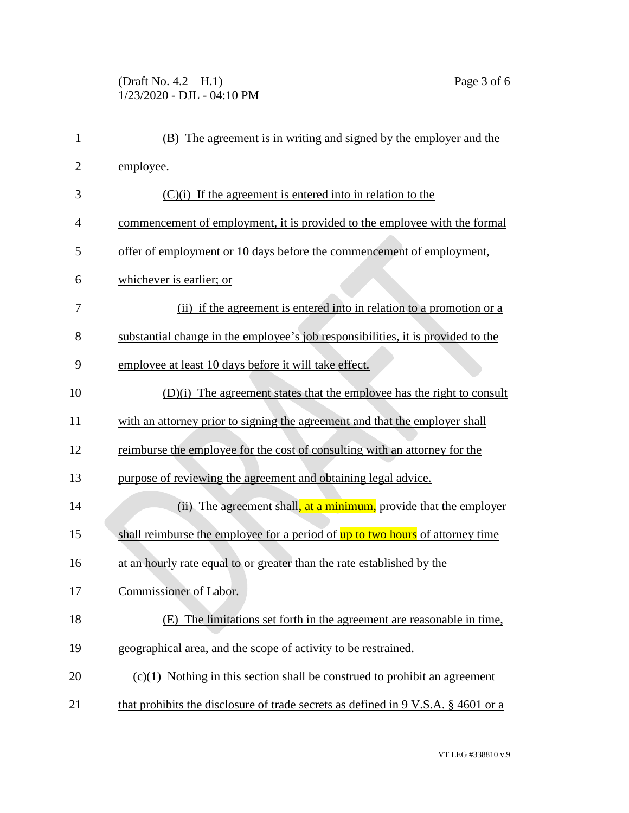## (Draft No. 4.2 – H.1) Page 3 of 6 1/23/2020 - DJL - 04:10 PM

| $\mathbf{1}$   | (B) The agreement is in writing and signed by the employer and the                           |
|----------------|----------------------------------------------------------------------------------------------|
| $\overline{2}$ | employee.                                                                                    |
| 3              | $(C)(i)$ If the agreement is entered into in relation to the                                 |
| $\overline{4}$ | commencement of employment, it is provided to the employee with the formal                   |
| 5              | offer of employment or 10 days before the commencement of employment,                        |
| 6              | whichever is earlier; or                                                                     |
| 7              | (ii) if the agreement is entered into in relation to a promotion or a                        |
| 8              | substantial change in the employee's job responsibilities, it is provided to the             |
| 9              | employee at least 10 days before it will take effect.                                        |
| 10             | (D)(i) The agreement states that the employee has the right to consult                       |
| 11             | with an attorney prior to signing the agreement and that the employer shall                  |
| 12             | reimburse the employee for the cost of consulting with an attorney for the                   |
| 13             | purpose of reviewing the agreement and obtaining legal advice.                               |
| 14             | (ii) The agreement shall, at a minimum, provide that the employer                            |
| 15             | shall reimburse the employee for a period of up to two hours of attorney time                |
| 16             | at an hourly rate equal to or greater than the rate established by the                       |
| 17             | Commissioner of Labor.                                                                       |
| 18             | The limitations set forth in the agreement are reasonable in time,<br>(E)                    |
| 19             | geographical area, and the scope of activity to be restrained.                               |
| 20             | $(c)(1)$ Nothing in this section shall be construed to prohibit an agreement                 |
| 21             | that prohibits the disclosure of trade secrets as defined in $9 \text{ V.S.A. }$ \$4601 or a |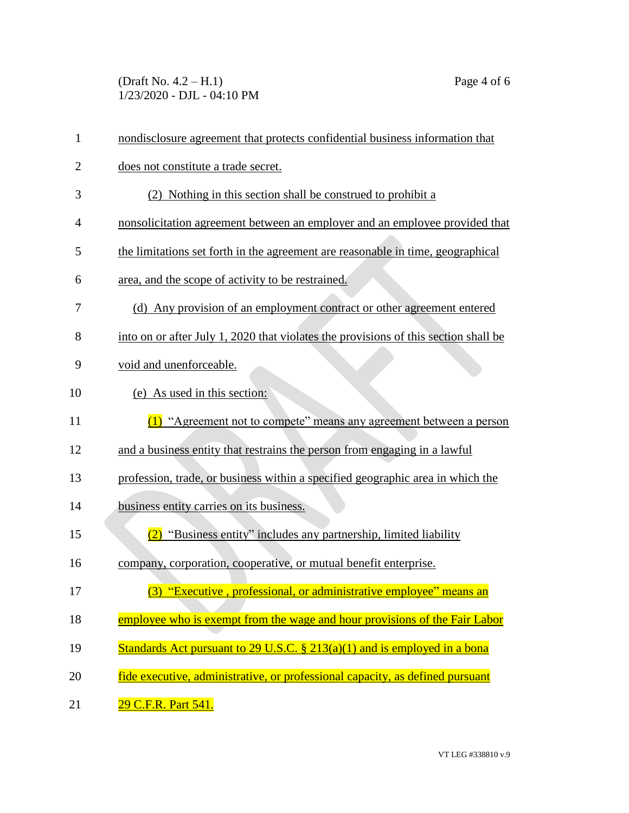(Draft No. 4.2 – H.1) Page 4 of 6 1/23/2020 - DJL - 04:10 PM

| $\mathbf{1}$   | nondisclosure agreement that protects confidential business information that        |
|----------------|-------------------------------------------------------------------------------------|
| $\overline{2}$ | does not constitute a trade secret.                                                 |
| 3              | (2) Nothing in this section shall be construed to prohibit a                        |
| 4              | nonsolicitation agreement between an employer and an employee provided that         |
| 5              | the limitations set forth in the agreement are reasonable in time, geographical     |
| 6              | area, and the scope of activity to be restrained.                                   |
| 7              | (d) Any provision of an employment contract or other agreement entered              |
| 8              | into on or after July 1, 2020 that violates the provisions of this section shall be |
| 9              | void and unenforceable.                                                             |
| 10             | (e) As used in this section:                                                        |
| 11             | (1) "Agreement not to compete" means any agreement between a person                 |
| 12             | and a business entity that restrains the person from engaging in a lawful           |
| 13             | profession, trade, or business within a specified geographic area in which the      |
| 14             | business entity carries on its business.                                            |
| 15             | (2) "Business entity" includes any partnership, limited liability                   |
| 16             | company, corporation, cooperative, or mutual benefit enterprise.                    |
| 17             | (3) "Executive, professional, or administrative employee" means an                  |
| 18             | employee who is exempt from the wage and hour provisions of the Fair Labor          |
| 19             | Standards Act pursuant to 29 U.S.C. $\S$ 213(a)(1) and is employed in a bona        |
| 20             | fide executive, administrative, or professional capacity, as defined pursuant       |
| 21             | 29 C.F.R. Part 541.                                                                 |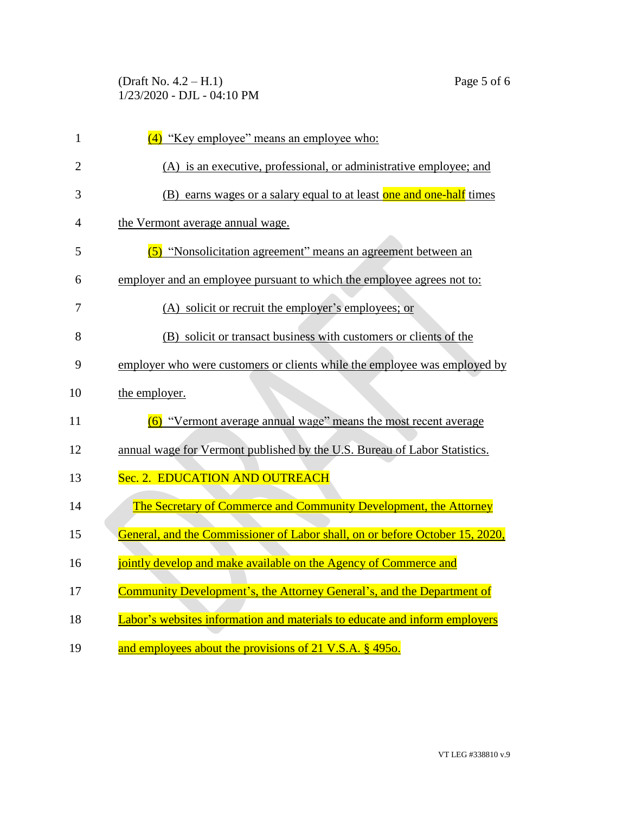## (Draft No. 4.2 – H.1) Page 5 of 6 1/23/2020 - DJL - 04:10 PM

| $\mathbf{1}$   | (4) "Key employee" means an employee who:                                    |
|----------------|------------------------------------------------------------------------------|
| $\overline{2}$ | (A) is an executive, professional, or administrative employee; and           |
| 3              | (B) earns wages or a salary equal to at least one and one-half times         |
| 4              | the Vermont average annual wage.                                             |
| 5              | (5) "Nonsolicitation agreement" means an agreement between an                |
| 6              | employer and an employee pursuant to which the employee agrees not to:       |
| 7              | (A) solicit or recruit the employer's employees; or                          |
| 8              | (B) solicit or transact business with customers or clients of the            |
| 9              | employer who were customers or clients while the employee was employed by    |
| 10             | the employer.                                                                |
| 11             | (6) "Vermont average annual wage" means the most recent average              |
| 12             | annual wage for Vermont published by the U.S. Bureau of Labor Statistics.    |
| 13             | Sec. 2. EDUCATION AND OUTREACH                                               |
| 14             | The Secretary of Commerce and Community Development, the Attorney            |
| 15             | General, and the Commissioner of Labor shall, on or before October 15, 2020, |
| 16             | jointly develop and make available on the Agency of Commerce and             |
| 17             | Community Development's, the Attorney General's, and the Department of       |
| 18             | Labor's websites information and materials to educate and inform employers   |
| 19             | and employees about the provisions of 21 V.S.A. § 4950.                      |